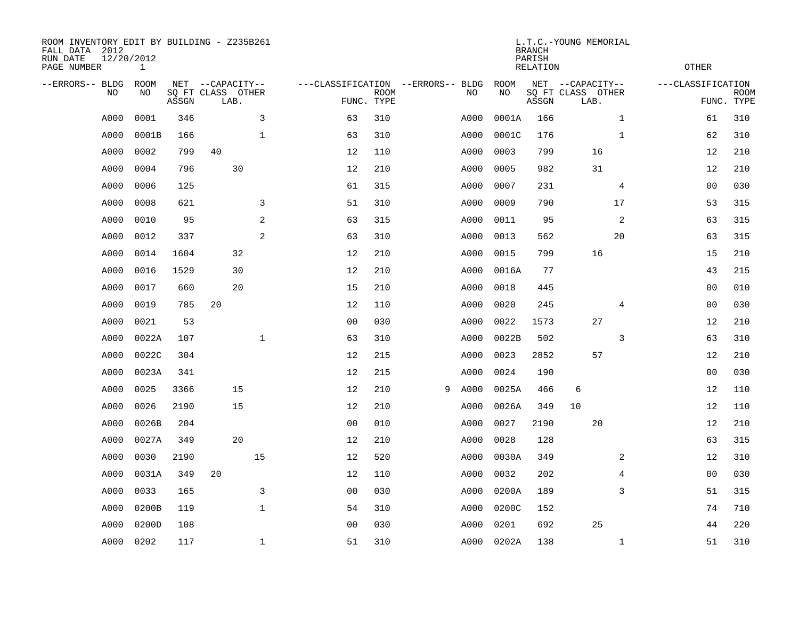| ROOM INVENTORY EDIT BY BUILDING - Z235B261<br>FALL DATA 2012<br>RUN DATE<br>PAGE NUMBER | 12/20/2012<br>$\mathbf{1}$ |       |                                               |              |                                   |                           |   |      |                   | <b>BRANCH</b><br>PARISH<br><b>RELATION</b> | L.T.C.-YOUNG MEMORIAL                         |                | <b>OTHER</b>                                   |
|-----------------------------------------------------------------------------------------|----------------------------|-------|-----------------------------------------------|--------------|-----------------------------------|---------------------------|---|------|-------------------|--------------------------------------------|-----------------------------------------------|----------------|------------------------------------------------|
| --ERRORS-- BLDG<br><b>NO</b>                                                            | ROOM<br>NO.                | ASSGN | NET --CAPACITY--<br>SQ FT CLASS OTHER<br>LAB. |              | ---CLASSIFICATION --ERRORS-- BLDG | <b>ROOM</b><br>FUNC. TYPE |   | NO   | <b>ROOM</b><br>NO | ASSGN                                      | NET --CAPACITY--<br>SQ FT CLASS OTHER<br>LAB. |                | ---CLASSIFICATION<br><b>ROOM</b><br>FUNC. TYPE |
| A000                                                                                    | 0001                       | 346   |                                               | 3            | 63                                | 310                       |   | A000 | 0001A             | 166                                        |                                               | $\mathbf{1}$   | 310<br>61                                      |
| A000                                                                                    | 0001B                      | 166   |                                               | $\mathbf 1$  | 63                                | 310                       |   | A000 | 0001C             | 176                                        |                                               | $\mathbf{1}$   | 62<br>310                                      |
| A000                                                                                    | 0002                       | 799   | 40                                            |              | 12                                | 110                       |   | A000 | 0003              | 799                                        | 16                                            |                | 12<br>210                                      |
| A000                                                                                    | 0004                       | 796   | 30                                            |              | 12                                | 210                       |   | A000 | 0005              | 982                                        | 31                                            |                | 12<br>210                                      |
| A000                                                                                    | 0006                       | 125   |                                               |              | 61                                | 315                       |   | A000 | 0007              | 231                                        |                                               | 4              | 030<br>0 <sub>0</sub>                          |
| A000                                                                                    | 0008                       | 621   |                                               | 3            | 51                                | 310                       |   | A000 | 0009              | 790                                        |                                               | 17             | 53<br>315                                      |
| A000                                                                                    | 0010                       | 95    |                                               | 2            | 63                                | 315                       |   | A000 | 0011              | 95                                         |                                               | 2              | 315<br>63                                      |
| A000                                                                                    | 0012                       | 337   |                                               | 2            | 63                                | 310                       |   | A000 | 0013              | 562                                        |                                               | 20             | 63<br>315                                      |
| A000                                                                                    | 0014                       | 1604  | 32                                            |              | 12                                | 210                       |   | A000 | 0015              | 799                                        | 16                                            |                | 210<br>15                                      |
| A000                                                                                    | 0016                       | 1529  | 30                                            |              | 12                                | 210                       |   | A000 | 0016A             | 77                                         |                                               |                | 215<br>43                                      |
| A000                                                                                    | 0017                       | 660   | 20                                            |              | 15                                | 210                       |   | A000 | 0018              | 445                                        |                                               |                | 010<br>00                                      |
| A000                                                                                    | 0019                       | 785   | 20                                            |              | 12                                | 110                       |   | A000 | 0020              | 245                                        |                                               | 4              | 030<br>00                                      |
| A000                                                                                    | 0021                       | 53    |                                               |              | 0 <sub>0</sub>                    | 030                       |   | A000 | 0022              | 1573                                       | 27                                            |                | 210<br>12                                      |
| A000                                                                                    | 0022A                      | 107   |                                               | $\mathbf{1}$ | 63                                | 310                       |   | A000 | 0022B             | 502                                        |                                               | 3              | 63<br>310                                      |
| A000                                                                                    | 0022C                      | 304   |                                               |              | 12                                | 215                       |   | A000 | 0023              | 2852                                       | 57                                            |                | 12<br>210                                      |
| A000                                                                                    | 0023A                      | 341   |                                               |              | 12                                | 215                       |   | A000 | 0024              | 190                                        |                                               |                | 030<br>00                                      |
| A000                                                                                    | 0025                       | 3366  | 15                                            |              | 12                                | 210                       | 9 | A000 | 0025A             | 466                                        | 6                                             |                | 12<br>110                                      |
| A000                                                                                    | 0026                       | 2190  | 15                                            |              | 12                                | 210                       |   | A000 | 0026A             | 349                                        | 10                                            |                | 110<br>12                                      |
| A000                                                                                    | 0026B                      | 204   |                                               |              | 0 <sub>0</sub>                    | 010                       |   | A000 | 0027              | 2190                                       | 20                                            |                | 210<br>12                                      |
| A000                                                                                    | 0027A                      | 349   | 20                                            |              | 12                                | 210                       |   | A000 | 0028              | 128                                        |                                               |                | 315<br>63                                      |
| A000                                                                                    | 0030                       | 2190  |                                               | 15           | 12                                | 520                       |   | A000 | 0030A             | 349                                        |                                               | 2              | 12<br>310                                      |
| A000                                                                                    | 0031A                      | 349   | 20                                            |              | 12                                | 110                       |   | A000 | 0032              | 202                                        |                                               | $\overline{4}$ | 0 <sub>0</sub><br>030                          |
| A000                                                                                    | 0033                       | 165   |                                               | 3            | 0 <sub>0</sub>                    | 030                       |   | A000 | 0200A             | 189                                        |                                               | 3              | 51<br>315                                      |
| A000                                                                                    | 0200B                      | 119   |                                               | $\mathbf{1}$ | 54                                | 310                       |   | A000 | 0200C             | 152                                        |                                               |                | 74<br>710                                      |
| A000                                                                                    | 0200D                      | 108   |                                               |              | 0 <sub>0</sub>                    | 030                       |   | A000 | 0201              | 692                                        | 25                                            |                | 220<br>44                                      |
| A000                                                                                    | 0202                       | 117   |                                               | $\mathbf 1$  | 51                                | 310                       |   | A000 | 0202A             | 138                                        |                                               | $\mathbf{1}$   | 51<br>310                                      |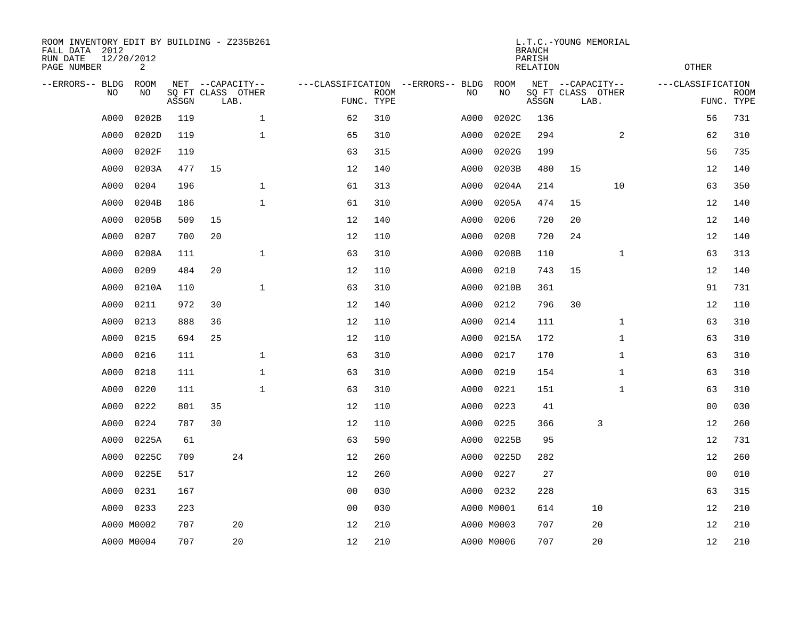| ROOM INVENTORY EDIT BY BUILDING - Z235B261<br>FALL DATA 2012<br>RUN DATE<br>PAGE NUMBER | 12/20/2012<br>2 |       |                                               |              |                |                           |                                         |            | <b>BRANCH</b><br>PARISH<br><b>RELATION</b> | L.T.C.-YOUNG MEMORIAL                         |              | <b>OTHER</b>      |                           |
|-----------------------------------------------------------------------------------------|-----------------|-------|-----------------------------------------------|--------------|----------------|---------------------------|-----------------------------------------|------------|--------------------------------------------|-----------------------------------------------|--------------|-------------------|---------------------------|
| --ERRORS-- BLDG<br>NO                                                                   | ROOM<br>NO      | ASSGN | NET --CAPACITY--<br>SQ FT CLASS OTHER<br>LAB. |              |                | <b>ROOM</b><br>FUNC. TYPE | ---CLASSIFICATION --ERRORS-- BLDG<br>NO | ROOM<br>NO | ASSGN                                      | NET --CAPACITY--<br>SQ FT CLASS OTHER<br>LAB. |              | ---CLASSIFICATION | <b>ROOM</b><br>FUNC. TYPE |
| A000                                                                                    | 0202B           | 119   |                                               | $\mathbf 1$  | 62             | 310                       | A000                                    | 0202C      | 136                                        |                                               |              | 56                | 731                       |
| A000                                                                                    | 0202D           | 119   |                                               | $\mathbf 1$  | 65             | 310                       | A000                                    | 0202E      | 294                                        |                                               | 2            | 62                | 310                       |
| A000                                                                                    | 0202F           | 119   |                                               |              | 63             | 315                       | A000                                    | 0202G      | 199                                        |                                               |              | 56                | 735                       |
| A000                                                                                    | 0203A           | 477   | 15                                            |              | 12             | 140                       | A000                                    | 0203B      | 480                                        | 15                                            |              | 12                | 140                       |
| A000                                                                                    | 0204            | 196   |                                               | $\mathbf{1}$ | 61             | 313                       | A000                                    | 0204A      | 214                                        |                                               | 10           | 63                | 350                       |
| A000                                                                                    | 0204B           | 186   |                                               | $\mathbf 1$  | 61             | 310                       | A000                                    | 0205A      | 474                                        | 15                                            |              | 12                | 140                       |
| A000                                                                                    | 0205B           | 509   | 15                                            |              | 12             | 140                       | A000                                    | 0206       | 720                                        | 20                                            |              | 12                | 140                       |
| A000                                                                                    | 0207            | 700   | 20                                            |              | 12             | 110                       | A000                                    | 0208       | 720                                        | 24                                            |              | 12                | 140                       |
| A000                                                                                    | 0208A           | 111   |                                               | $\mathbf{1}$ | 63             | 310                       | A000                                    | 0208B      | 110                                        |                                               | $\mathbf{1}$ | 63                | 313                       |
| A000                                                                                    | 0209            | 484   | 20                                            |              | 12             | 110                       | A000                                    | 0210       | 743                                        | 15                                            |              | 12                | 140                       |
| A000                                                                                    | 0210A           | 110   |                                               | $\mathbf{1}$ | 63             | 310                       | A000                                    | 0210B      | 361                                        |                                               |              | 91                | 731                       |
| A000                                                                                    | 0211            | 972   | 30                                            |              | 12             | 140                       | A000                                    | 0212       | 796                                        | 30                                            |              | 12                | 110                       |
| A000                                                                                    | 0213            | 888   | 36                                            |              | 12             | 110                       | A000                                    | 0214       | 111                                        |                                               | $\mathbf{1}$ | 63                | 310                       |
| A000                                                                                    | 0215            | 694   | 25                                            |              | 12             | 110                       | A000                                    | 0215A      | 172                                        |                                               | $\mathbf{1}$ | 63                | 310                       |
| A000                                                                                    | 0216            | 111   |                                               | $\mathbf 1$  | 63             | 310                       | A000                                    | 0217       | 170                                        |                                               | $\mathbf{1}$ | 63                | 310                       |
| A000                                                                                    | 0218            | 111   |                                               | $\mathbf{1}$ | 63             | 310                       | A000                                    | 0219       | 154                                        |                                               | $\mathbf{1}$ | 63                | 310                       |
| A000                                                                                    | 0220            | 111   |                                               | $\mathbf{1}$ | 63             | 310                       | A000                                    | 0221       | 151                                        |                                               | $\mathbf{1}$ | 63                | 310                       |
| A000                                                                                    | 0222            | 801   | 35                                            |              | 12             | 110                       | A000                                    | 0223       | 41                                         |                                               |              | 0 <sub>0</sub>    | 030                       |
| A000                                                                                    | 0224            | 787   | 30                                            |              | 12             | 110                       | A000                                    | 0225       | 366                                        | 3                                             |              | 12                | 260                       |
| A000                                                                                    | 0225A           | 61    |                                               |              | 63             | 590                       | A000                                    | 0225B      | 95                                         |                                               |              | 12                | 731                       |
| A000                                                                                    | 0225C           | 709   |                                               | 24           | 12             | 260                       | A000                                    | 0225D      | 282                                        |                                               |              | 12                | 260                       |
| A000                                                                                    | 0225E           | 517   |                                               |              | 12             | 260                       | A000                                    | 0227       | 27                                         |                                               |              | 00                | 010                       |
| A000                                                                                    | 0231            | 167   |                                               |              | 0 <sub>0</sub> | 030                       |                                         | A000 0232  | 228                                        |                                               |              | 63                | 315                       |
| A000                                                                                    | 0233            | 223   |                                               |              | 0 <sub>0</sub> | 030                       |                                         | A000 M0001 | 614                                        | 10                                            |              | 12                | 210                       |
|                                                                                         | A000 M0002      | 707   |                                               | 20           | 12             | 210                       |                                         | A000 M0003 | 707                                        | 20                                            |              | 12                | 210                       |
|                                                                                         | A000 M0004      | 707   |                                               | 20           | 12             | 210                       |                                         | A000 M0006 | 707                                        | 20                                            |              | 12                | 210                       |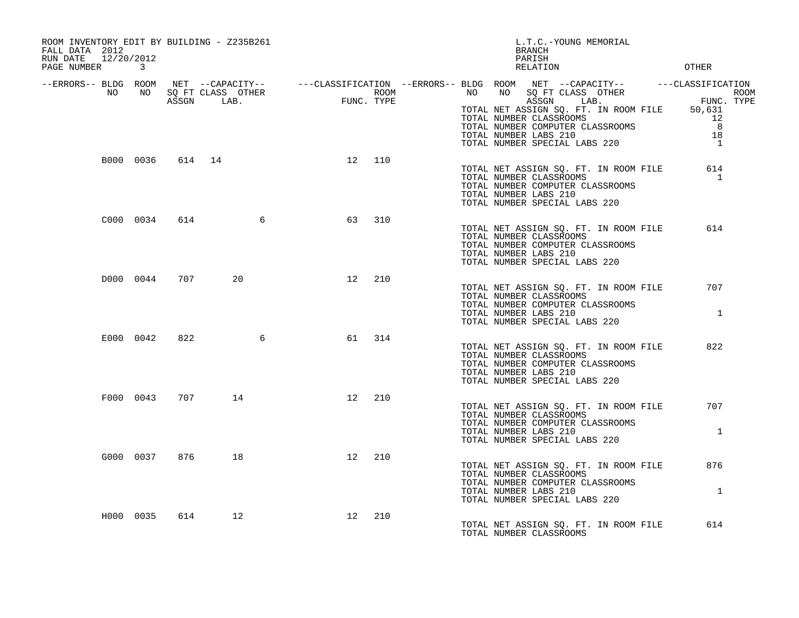| ROOM INVENTORY EDIT BY BUILDING - Z235B261<br>FALL DATA 2012<br>RUN DATE 12/20/2012<br>PAGE NUMBER 3 |     |                  |                           | L.T.C.-YOUNG MEMORIAL<br>BRANCH<br>PARISH<br>OTHER<br>RELATION                                                                                                                                                                                                                                                                                                                                |
|------------------------------------------------------------------------------------------------------|-----|------------------|---------------------------|-----------------------------------------------------------------------------------------------------------------------------------------------------------------------------------------------------------------------------------------------------------------------------------------------------------------------------------------------------------------------------------------------|
|                                                                                                      |     |                  |                           | -ERRORS-- BLDG ROOM NET --CAPACITY-- ----CLASSIFICATION --ERRORS-- BLDG ROOM NET --CAPACITY-- ----CLASSIFICATION<br>ROOM ROOM ROOM ROOM ROOM ROOM NO SQ FT CLASS OTHER ROOM<br>ASSGN LAB. FUNC. TYPE TOTAL NET ASSIGN LAB. FUNC. TYP<br>TOTAL NUMBER CLASSROOMS 12<br>TOTAL NUMBER COMPUTER CLASSROOMS<br>TOTAL NUMBER LABS 210<br>8<br>18<br>TOTAL NUMBER SPECIAL LABS 220<br>$\overline{1}$ |
|                                                                                                      |     | B000 0036 614 14 | 12 110                    | TOTAL NET ASSIGN SQ. FT. IN ROOM FILE<br>614<br>TOTAL NUMBER CLASSROOMS<br>$\mathbf{1}$<br>TOTAL NUMBER COMPUTER CLASSROOMS<br>TOTAL NUMBER LABS 210<br>TOTAL NUMBER SPECIAL LABS 220                                                                                                                                                                                                         |
| C000 0034                                                                                            | 614 | $\sim$ 6         | 310<br>63                 | 614<br>TOTAL NET ASSIGN SQ. FT. IN ROOM FILE<br>TOTAL NUMBER CLASSROOMS<br>TOTAL NUMBER COMPUTER CLASSROOMS<br>TOTAL NUMBER LABS 210<br>TOTAL NUMBER SPECIAL LABS 220                                                                                                                                                                                                                         |
| D000 0044                                                                                            | 707 | 20               | 12<br>210                 | 707<br>TOTAL NET ASSIGN SQ. FT. IN ROOM FILE<br>TOTAL NUMBER CLASSROOMS<br>TOTAL NUMBER COMPUTER CLASSROOMS<br>$\mathbf{1}$<br>TOTAL NUMBER LABS 210<br>TOTAL NUMBER SPECIAL LABS 220                                                                                                                                                                                                         |
| E000 0042                                                                                            | 822 |                  | $6\overline{6}$<br>61 314 | 822<br>TOTAL NET ASSIGN SQ. FT. IN ROOM FILE<br>TOTAL NUMBER CLASSROOMS<br>TOTAL NUMBER COMPUTER CLASSROOMS<br>TOTAL NUMBER LABS 210<br>TOTAL NUMBER SPECIAL LABS 220                                                                                                                                                                                                                         |
| F000 0043 707                                                                                        |     | 14               | 210<br>12                 | TOTAL NET ASSIGN SQ. FT. IN ROOM FILE<br>707<br>TOTAL NUMBER CLASSROOMS<br>TOTAL NUMBER COMPUTER CLASSROOMS<br>TOTAL NUMBER LABS 210<br>$\mathbf{1}$<br>TOTAL NUMBER SPECIAL LABS 220                                                                                                                                                                                                         |
| G000 0037                                                                                            | 876 | 18               | 12<br>210                 | 876<br>TOTAL NET ASSIGN SQ. FT. IN ROOM FILE<br>TOTAL NUMBER CLASSROOMS<br>TOTAL NUMBER COMPUTER CLASSROOMS<br>TOTAL NUMBER LABS 210<br><sup>1</sup><br>TOTAL NUMBER SPECIAL LABS 220                                                                                                                                                                                                         |
| H000 0035                                                                                            | 614 | 12               | 12<br>210                 | TOTAL NET ASSIGN SQ. FT. IN ROOM FILE<br>614<br>TOTAL NUMBER CLASSROOMS                                                                                                                                                                                                                                                                                                                       |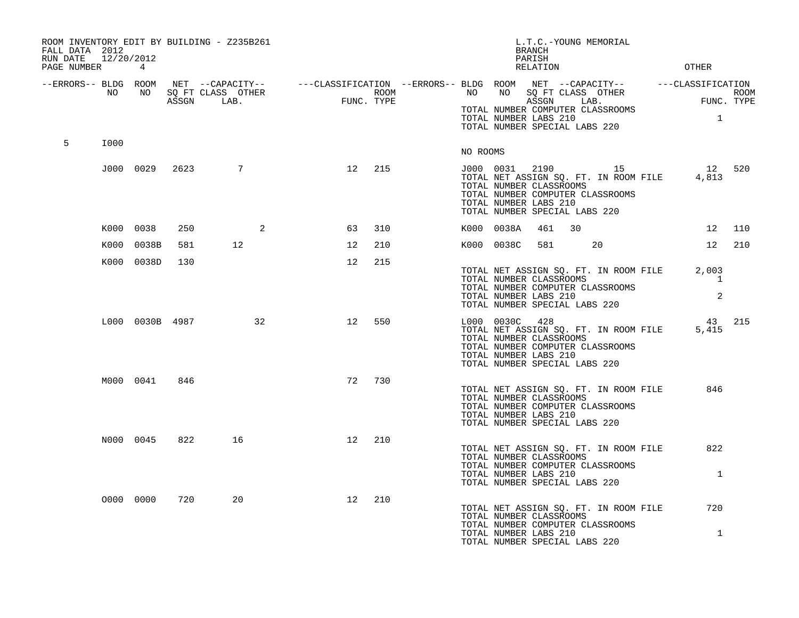| FALL DATA 2012<br>RUN DATE 12/20/2012<br>PAGE NUMBER 4 |      |                 |      | ROOM INVENTORY EDIT BY BUILDING - Z235B261 |    |     | L.T.C.-YOUNG MEMORIAL<br><b>BRANCH</b><br>PARISH<br>RELATION                                                                                                                                                                                                                                             | OTHER               |        |
|--------------------------------------------------------|------|-----------------|------|--------------------------------------------|----|-----|----------------------------------------------------------------------------------------------------------------------------------------------------------------------------------------------------------------------------------------------------------------------------------------------------------|---------------------|--------|
| --ERRORS-- BLDG ROOM                                   | NO   | NO 11           |      |                                            |    |     | NET --CAPACITY-- ----CLASSIFICATION --ERRORS-- BLDG ROOM NET --CAPACITY-- -----CLASSIFICATION<br>SQ FT CLASS OTHER ROOM ROOM NO SQ FT CLASS OTHER ROOM ROOM<br>ASSGN LAB. FUNC. TYPE ASSGN LAB. FUNC. TYPE<br>TOTAL NUMBER COMPUTER CLASSROOMS<br>TOTAL NUMBER LABS 210<br>TOTAL NUMBER SPECIAL LABS 220 | $\sim$ 1            |        |
| 5                                                      | I000 |                 |      |                                            |    |     | NO ROOMS                                                                                                                                                                                                                                                                                                 |                     |        |
|                                                        |      | J000 0029       | 2623 | $\overline{7}$                             | 12 | 215 | J000 0031 2190 15<br>12 520<br>TOTAL NET ASSIGN SQ. FT. IN ROOM FILE 4,813<br>TOTAL NUMBER CLASSROOMS<br>TOTAL NUMBER COMPUTER CLASSROOMS<br>TOTAL NUMBER LABS 210<br>TOTAL NUMBER SPECIAL LABS 220                                                                                                      |                     |        |
|                                                        |      | K000 0038       | 250  | 2                                          | 63 | 310 | K000 0038A<br>461<br>30                                                                                                                                                                                                                                                                                  |                     | 12 110 |
|                                                        |      | K000 0038B      | 581  | 12                                         | 12 | 210 | K000 0038C<br>581<br>20                                                                                                                                                                                                                                                                                  |                     | 12 210 |
|                                                        |      | K000 0038D      | 130  |                                            | 12 | 215 | TOTAL NET ASSIGN SQ. FT. IN ROOM FILE<br>TOTAL NUMBER CLASSROOMS<br>TOTAL NUMBER COMPUTER CLASSROOMS<br>TOTAL NUMBER LABS 210<br>TOTAL NUMBER SPECIAL LABS 220                                                                                                                                           | 2,003<br>1<br>2     |        |
|                                                        |      | L000 0030B 4987 |      | 32                                         | 12 | 550 | L000 0030C 428<br>TOTAL NET ASSIGN SQ. FT. IN ROOM FILE<br>TOTAL NUMBER CLASSROOMS<br>TOTAL NUMBER COMPUTER CLASSROOMS<br>TOTAL NUMBER LABS 210<br>TOTAL NUMBER SPECIAL LABS 220                                                                                                                         | 43 215<br>5,415     |        |
|                                                        |      | M000 0041       | 846  |                                            | 72 | 730 | TOTAL NET ASSIGN SQ. FT. IN ROOM FILE<br>TOTAL NUMBER CLASSROOMS<br>TOTAL NUMBER COMPUTER CLASSROOMS<br>TOTAL NUMBER LABS 210<br>TOTAL NUMBER SPECIAL LABS 220                                                                                                                                           | 846                 |        |
|                                                        |      | N000 0045       | 822  | 16                                         | 12 | 210 | TOTAL NET ASSIGN SQ. FT. IN ROOM FILE<br>TOTAL NUMBER CLASSROOMS<br>TOTAL NUMBER COMPUTER CLASSROOMS<br>TOTAL NUMBER LABS 210<br>TOTAL NUMBER SPECIAL LABS 220                                                                                                                                           | 822<br>$\mathbf{1}$ |        |
|                                                        |      | 0000 0000       | 720  | 20                                         | 12 | 210 | TOTAL NET ASSIGN SQ. FT. IN ROOM FILE<br>TOTAL NUMBER CLASSROOMS<br>TOTAL NUMBER COMPUTER CLASSROOMS<br>TOTAL NUMBER LABS 210<br>TOTAL NUMBER SPECIAL LABS 220                                                                                                                                           | 720<br>$\mathbf{1}$ |        |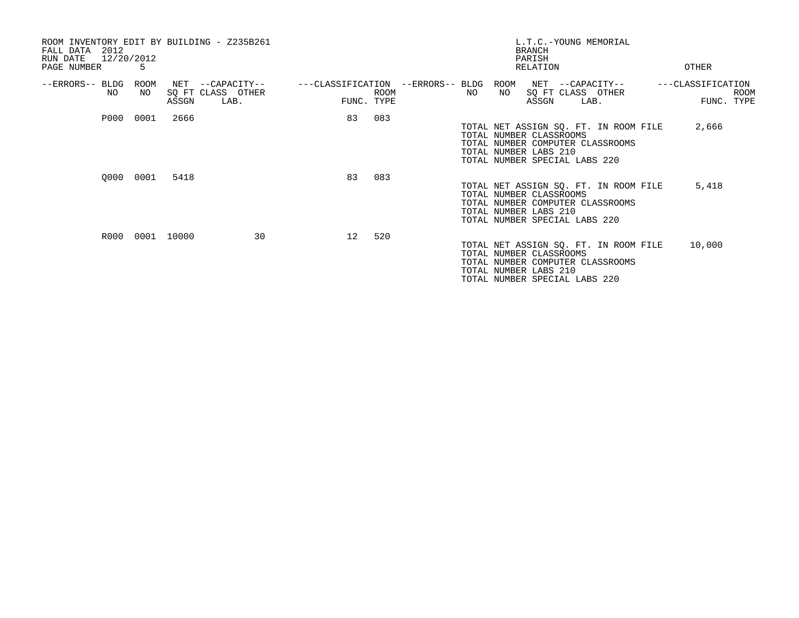| ROOM INVENTORY EDIT BY BUILDING - Z235B261<br>2012<br>FALL DATA<br>RUN DATE<br>PAGE NUMBER | 12/20/2012<br>5 |              |                                           |                                   |                           |                                                                                   |            | <b>BRANCH</b><br>PARISH<br>RELATION |      | L.T.C.-YOUNG MEMORIAL                                                     | OTHER             |                    |
|--------------------------------------------------------------------------------------------|-----------------|--------------|-------------------------------------------|-----------------------------------|---------------------------|-----------------------------------------------------------------------------------|------------|-------------------------------------|------|---------------------------------------------------------------------------|-------------------|--------------------|
| --ERRORS-- BLDG<br>NO                                                                      | ROOM<br>NO.     | NET<br>ASSGN | --CAPACITY--<br>SQ FT CLASS OTHER<br>LAB. | ---CLASSIFICATION --ERRORS-- BLDG | <b>ROOM</b><br>FUNC. TYPE | NO                                                                                | ROOM<br>NO | ASSGN                               | LAB. | NET --CAPACITY--<br>SQ FT CLASS OTHER                                     | ---CLASSIFICATION | ROOM<br>FUNC. TYPE |
| P000                                                                                       | 0001            | 2666         |                                           | 83                                | 083                       | TOTAL NUMBER CLASSROOMS<br>TOTAL NUMBER LABS 210<br>TOTAL NUMBER SPECIAL LABS 220 |            |                                     |      | TOTAL NET ASSIGN SQ. FT. IN ROOM FILE<br>TOTAL NUMBER COMPUTER CLASSROOMS | 2,666             |                    |
|                                                                                            | 0000 0001       | 5418         |                                           | 83                                | 083                       | TOTAL NUMBER CLASSROOMS<br>TOTAL NUMBER LABS 210<br>TOTAL NUMBER SPECIAL LABS 220 |            |                                     |      | TOTAL NET ASSIGN SQ. FT. IN ROOM FILE<br>TOTAL NUMBER COMPUTER CLASSROOMS | 5,418             |                    |
| R000                                                                                       |                 | 0001 10000   | 30                                        | 12                                | 520                       | TOTAL NUMBER CLASSROOMS<br>TOTAL NUMBER LABS 210<br>TOTAL NUMBER SPECIAL LABS 220 |            |                                     |      | TOTAL NET ASSIGN SQ. FT. IN ROOM FILE<br>TOTAL NUMBER COMPUTER CLASSROOMS | 10,000            |                    |